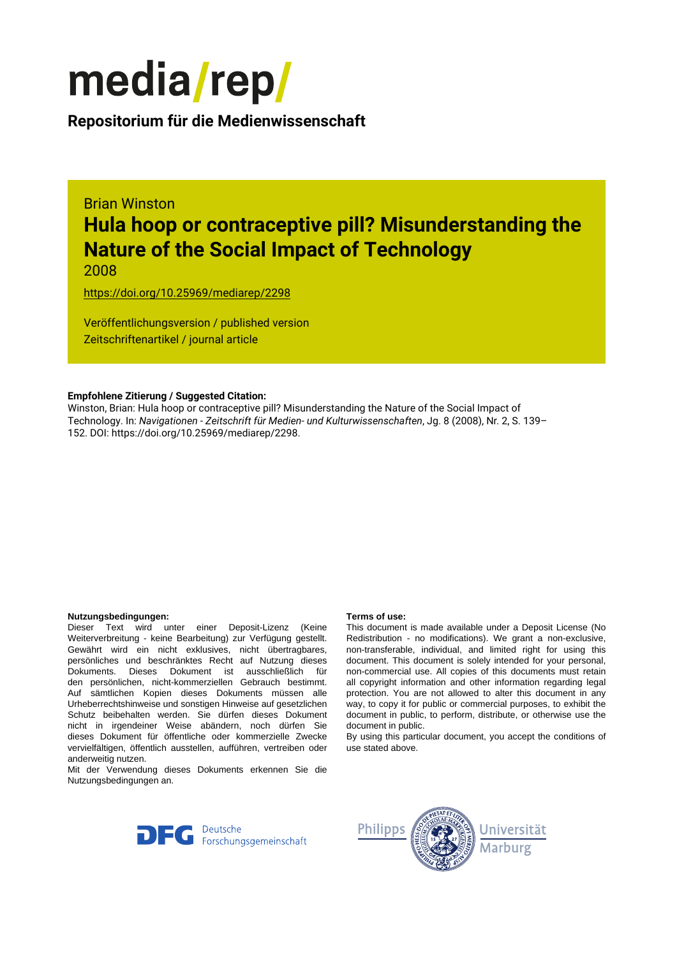

**Repositorium für die [Medienwissenschaft](https://mediarep.org)**

# Brian Winston **Hula hoop or contraceptive pill? Misunderstanding the Nature of the Social Impact of Technology**

2008

<https://doi.org/10.25969/mediarep/2298>

Veröffentlichungsversion / published version Zeitschriftenartikel / journal article

#### **Empfohlene Zitierung / Suggested Citation:**

Winston, Brian: Hula hoop or contraceptive pill? Misunderstanding the Nature of the Social Impact of Technology. In: *Navigationen - Zeitschrift für Medien- und Kulturwissenschaften*, Jg. 8 (2008), Nr. 2, S. 139– 152. DOI: https://doi.org/10.25969/mediarep/2298.

#### **Nutzungsbedingungen: Terms of use:**

Dieser Text wird unter einer Deposit-Lizenz (Keine Weiterverbreitung - keine Bearbeitung) zur Verfügung gestellt. Gewährt wird ein nicht exklusives, nicht übertragbares, persönliches und beschränktes Recht auf Nutzung dieses Dokuments. Dieses Dokument ist ausschließlich für den persönlichen, nicht-kommerziellen Gebrauch bestimmt. Auf sämtlichen Kopien dieses Dokuments müssen alle Urheberrechtshinweise und sonstigen Hinweise auf gesetzlichen Schutz beibehalten werden. Sie dürfen dieses Dokument nicht in irgendeiner Weise abändern, noch dürfen Sie dieses Dokument für öffentliche oder kommerzielle Zwecke vervielfältigen, öffentlich ausstellen, aufführen, vertreiben oder anderweitig nutzen.

Mit der Verwendung dieses Dokuments erkennen Sie die Nutzungsbedingungen an.

This document is made available under a Deposit License (No Redistribution - no modifications). We grant a non-exclusive, non-transferable, individual, and limited right for using this document. This document is solely intended for your personal, non-commercial use. All copies of this documents must retain all copyright information and other information regarding legal protection. You are not allowed to alter this document in any way, to copy it for public or commercial purposes, to exhibit the document in public, to perform, distribute, or otherwise use the document in public.

By using this particular document, you accept the conditions of use stated above.



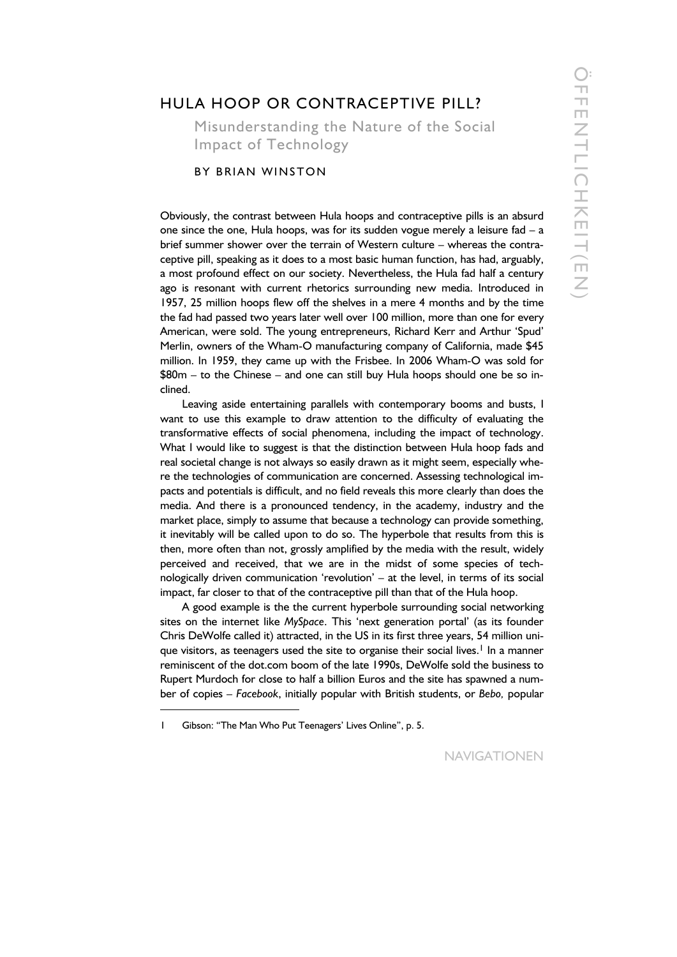## HULA HOOP OR CONTRACEPTIVE PILL?

Misunderstanding the Nature of the Social Impact of Technology

### BY BRIAN WINSTON

Obviously, the contrast between Hula hoops and contraceptive pills is an absurd one since the one, Hula hoops, was for its sudden vogue merely a leisure fad  $- a$ brief summer shower over the terrain of Western culture – whereas the contraceptive pill, speaking as it does to a most basic human function, has had, arguably, a most profound effect on our society. Nevertheless, the Hula fad half a century ago is resonant with current rhetorics surrounding new media. Introduced in 1957, 25 million hoops flew off the shelves in a mere 4 months and by the time the fad had passed two years later well over 100 million, more than one for every American, were sold. The young entrepreneurs, Richard Kerr and Arthur 'Spud' Merlin, owners of the Wham-O manufacturing company of California, made \$45 million. In 1959, they came up with the Frisbee. In 2006 Wham-O was sold for \$80m – to the Chinese – and one can still buy Hula hoops should one be so inclined.

Leaving aside entertaining parallels with contemporary booms and busts, I want to use this example to draw attention to the difficulty of evaluating the transformative effects of social phenomena, including the impact of technology. What I would like to suggest is that the distinction between Hula hoop fads and real societal change is not always so easily drawn as it might seem, especially where the technologies of communication are concerned. Assessing technological impacts and potentials is difficult, and no field reveals this more clearly than does the media. And there is a pronounced tendency, in the academy, industry and the market place, simply to assume that because a technology can provide something, it inevitably will be called upon to do so. The hyperbole that results from this is then, more often than not, grossly amplified by the media with the result, widely perceived and received, that we are in the midst of some species of technologically driven communication 'revolution' – at the level, in terms of its social impact, far closer to that of the contraceptive pill than that of the Hula hoop.

A good example is the the current hyperbole surrounding social networking sites on the internet like *MySpace*. This 'next generation portal' (as its founder Chris DeWolfe called it) attracted, in the US in its first three years, 54 million unique visitors, as teenagers used the site to organise their social lives.<sup>1</sup> In a manner reminiscent of the dot.com boom of the late 1990s, DeWolfe sold the business to Rupert Murdoch for close to half a billion Euros and the site has spawned a number of copies – *Facebook*, initially popular with British students, or *Bebo,* popular

 $\ddot{\phantom{a}}$ 

<sup>1</sup> Gibson: "The Man Who Put Teenagers' Lives Online", p. 5.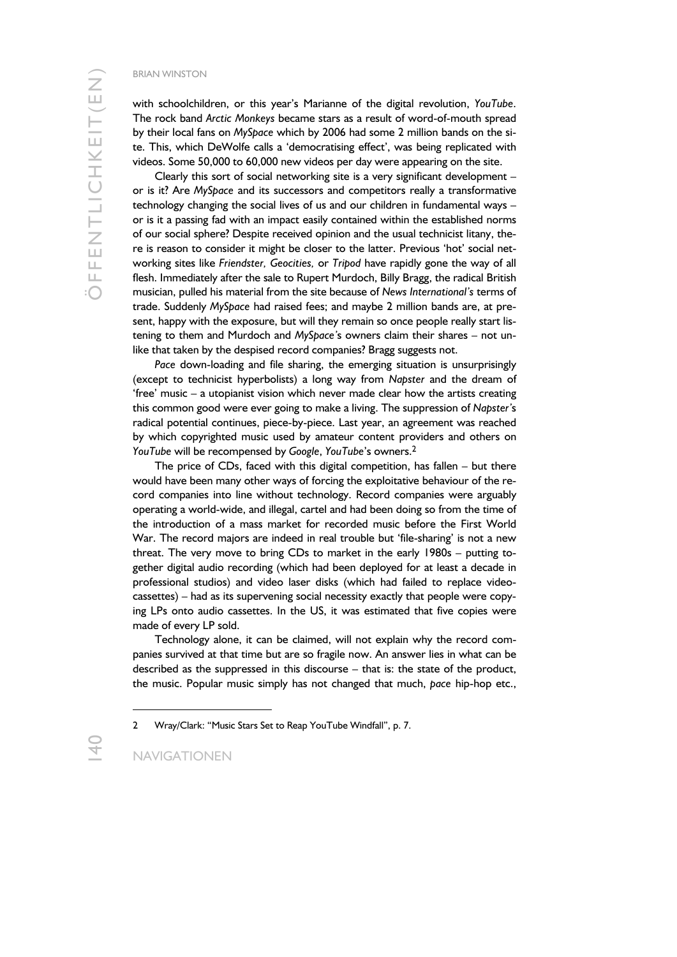with schoolchildren, or this year's Marianne of the digital revolution, *YouTube*. The rock band *Arctic Monkeys* became stars as a result of word-of-mouth spread by their local fans on *MySpace* which by 2006 had some 2 million bands on the site. This, which DeWolfe calls a 'democratising effect', was being replicated with videos. Some 50,000 to 60,000 new videos per day were appearing on the site.

Clearly this sort of social networking site is a very significant development – or is it? Are *MySpace* and its successors and competitors really a transformative technology changing the social lives of us and our children in fundamental ways – or is it a passing fad with an impact easily contained within the established norms of our social sphere? Despite received opinion and the usual technicist litany, there is reason to consider it might be closer to the latter. Previous 'hot' social networking sites like *Friendster, Geocities,* or *Tripod* have rapidly gone the way of all flesh. Immediately after the sale to Rupert Murdoch, Billy Bragg, the radical British musician, pulled his material from the site because of *News International's* terms of trade. Suddenly *MySpace* had raised fees; and maybe 2 million bands are, at present, happy with the exposure, but will they remain so once people really start listening to them and Murdoch and *MySpace'*s owners claim their shares – not unlike that taken by the despised record companies? Bragg suggests not.

*Pace* down-loading and file sharing, the emerging situation is unsurprisingly (except to technicist hyperbolists) a long way from *Napster* and the dream of 'free' music – a utopianist vision which never made clear how the artists creating this common good were ever going to make a living. The suppression of *Napster'*s radical potential continues, piece-by-piece. Last year, an agreement was reached by which copyrighted music used by amateur content providers and others on *YouTube* will be recompensed by *Google*, *YouTube*'s owners.2

The price of CDs, faced with this digital competition, has fallen – but there would have been many other ways of forcing the exploitative behaviour of the record companies into line without technology. Record companies were arguably operating a world-wide, and illegal, cartel and had been doing so from the time of the introduction of a mass market for recorded music before the First World War. The record majors are indeed in real trouble but 'file-sharing' is not a new threat. The very move to bring CDs to market in the early 1980s – putting together digital audio recording (which had been deployed for at least a decade in professional studios) and video laser disks (which had failed to replace videocassettes) – had as its supervening social necessity exactly that people were copying LPs onto audio cassettes. In the US, it was estimated that five copies were made of every LP sold.

Technology alone, it can be claimed, will not explain why the record companies survived at that time but are so fragile now. An answer lies in what can be described as the suppressed in this discourse – that is: the state of the product, the music. Popular music simply has not changed that much, *pace* hip-hop etc.,

<sup>2</sup> Wray/Clark: "Music Stars Set to Reap YouTube Windfall", p. 7.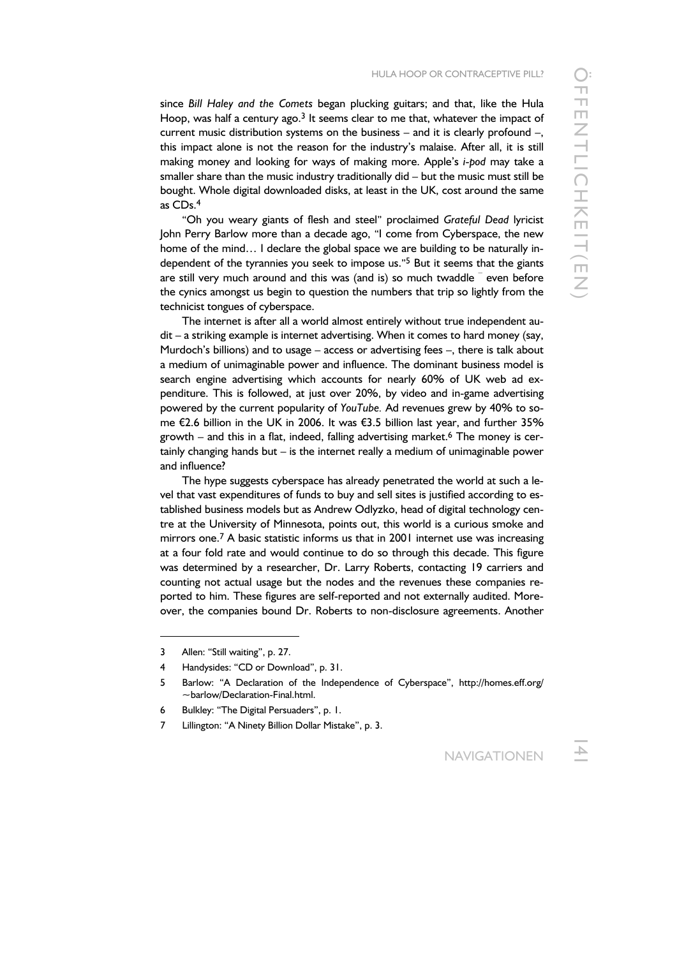since *Bill Haley and the Comets* began plucking guitars; and that, like the Hula Hoop, was half a century ago.<sup>3</sup> It seems clear to me that, whatever the impact of current music distribution systems on the business – and it is clearly profound –, this impact alone is not the reason for the industry's malaise. After all, it is still making money and looking for ways of making more. Apple's *i-pod* may take a smaller share than the music industry traditionally did – but the music must still be bought. Whole digital downloaded disks, at least in the UK, cost around the same as CDs.4

"Oh you weary giants of flesh and steel" proclaimed *Grateful Dead* lyricist John Perry Barlow more than a decade ago, "I come from Cyberspace, the new home of the mind... I declare the global space we are building to be naturally independent of the tyrannies you seek to impose us."<sup>5</sup> But it seems that the giants are still very much around and this was (and is) so much twaddle <sup>-</sup> even before the cynics amongst us begin to question the numbers that trip so lightly from the technicist tongues of cyberspace.

The internet is after all a world almost entirely without true independent audit – a striking example is internet advertising. When it comes to hard money (say, Murdoch's billions) and to usage – access or advertising fees –, there is talk about a medium of unimaginable power and influence. The dominant business model is search engine advertising which accounts for nearly 60% of UK web ad expenditure. This is followed, at just over 20%, by video and in-game advertising powered by the current popularity of *YouTube.* Ad revenues grew by 40% to some €2.6 billion in the UK in 2006. It was €3.5 billion last year, and further 35% growth – and this in a flat, indeed, falling advertising market.<sup>6</sup> The money is certainly changing hands but – is the internet really a medium of unimaginable power and influence?

The hype suggests cyberspace has already penetrated the world at such a level that vast expenditures of funds to buy and sell sites is justified according to established business models but as Andrew Odlyzko, head of digital technology centre at the University of Minnesota, points out, this world is a curious smoke and mirrors one.<sup>7</sup> A basic statistic informs us that in 2001 internet use was increasing at a four fold rate and would continue to do so through this decade. This figure was determined by a researcher, Dr. Larry Roberts, contacting 19 carriers and counting not actual usage but the nodes and the revenues these companies reported to him. These figures are self-reported and not externally audited. Moreover, the companies bound Dr. Roberts to non-disclosure agreements. Another

<sup>3</sup> Allen: "Still waiting", p. 27.

<sup>4</sup> Handysides: "CD or Download", p. 31.

<sup>5</sup> Barlow: "A Declaration of the Independence of Cyberspace", http://homes.eff.org/ ~barlow/Declaration-Final.html.

<sup>6</sup> Bulkley: "The Digital Persuaders", p. 1.

<sup>7</sup> Lillington: "A Ninety Billion Dollar Mistake", p. 3.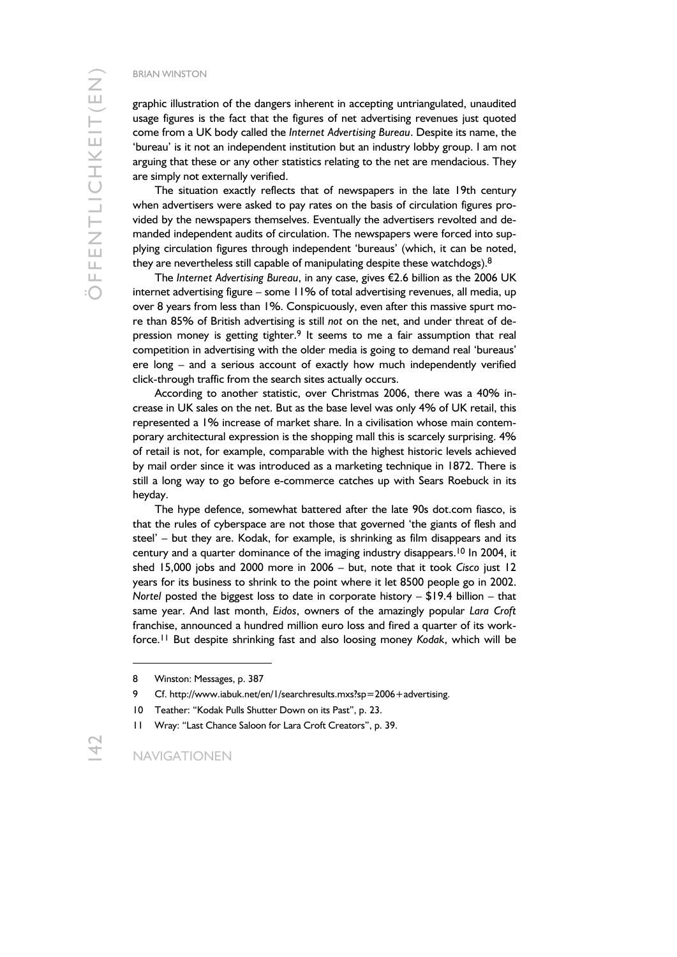graphic illustration of the dangers inherent in accepting untriangulated, unaudited usage figures is the fact that the figures of net advertising revenues just quoted come from a UK body called the *Internet Advertising Bureau*. Despite its name, the 'bureau' is it not an independent institution but an industry lobby group. I am not arguing that these or any other statistics relating to the net are mendacious. They are simply not externally verified.

The situation exactly reflects that of newspapers in the late 19th century when advertisers were asked to pay rates on the basis of circulation figures provided by the newspapers themselves. Eventually the advertisers revolted and demanded independent audits of circulation. The newspapers were forced into supplying circulation figures through independent 'bureaus' (which, it can be noted, they are nevertheless still capable of manipulating despite these watchdogs). $8$ 

The *Internet Advertising Bureau*, in any case, gives €2.6 billion as the 2006 UK internet advertising figure – some 11% of total advertising revenues, all media, up over 8 years from less than 1%. Conspicuously, even after this massive spurt more than 85% of British advertising is still *not* on the net, and under threat of depression money is getting tighter.<sup>9</sup> It seems to me a fair assumption that real competition in advertising with the older media is going to demand real 'bureaus' ere long – and a serious account of exactly how much independently verified click-through traffic from the search sites actually occurs.

According to another statistic, over Christmas 2006, there was a 40% increase in UK sales on the net. But as the base level was only 4% of UK retail, this represented a 1% increase of market share. In a civilisation whose main contemporary architectural expression is the shopping mall this is scarcely surprising. 4% of retail is not, for example, comparable with the highest historic levels achieved by mail order since it was introduced as a marketing technique in 1872. There is still a long way to go before e-commerce catches up with Sears Roebuck in its heyday.

The hype defence, somewhat battered after the late 90s dot.com fiasco, is that the rules of cyberspace are not those that governed 'the giants of flesh and steel' – but they are. Kodak, for example, is shrinking as film disappears and its century and a quarter dominance of the imaging industry disappears.<sup>10</sup> In 2004, it shed 15,000 jobs and 2000 more in 2006 – but, note that it took *Cisco* just 12 years for its business to shrink to the point where it let 8500 people go in 2002. *Nortel* posted the biggest loss to date in corporate history – \$19.4 billion – that same year. And last month, *Eidos*, owners of the amazingly popular *Lara Croft* franchise, announced a hundred million euro loss and fired a quarter of its workforce.11 But despite shrinking fast and also loosing money *Kodak*, which will be

<sup>8</sup> Winston: Messages, p. 387

<sup>9</sup> Cf. http://www.iabuk.net/en/1/searchresults.mxs?sp=2006+advertising.

<sup>10</sup> Teather: "Kodak Pulls Shutter Down on its Past", p. 23.

<sup>11</sup> Wray: "Last Chance Saloon for Lara Croft Creators", p. 39.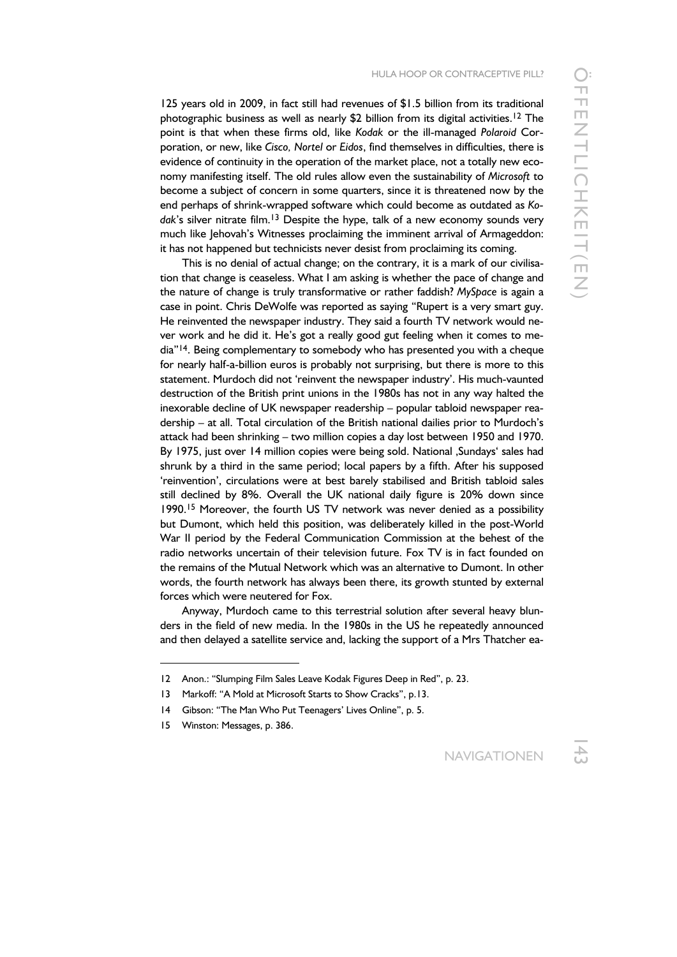125 years old in 2009, in fact still had revenues of \$1.5 billion from its traditional photographic business as well as nearly \$2 billion from its digital activities.<sup>12</sup> The point is that when these firms old, like *Kodak* or the ill-managed *Polaroid* Corporation, or new, like *Cisco, Nortel* or *Eidos*, find themselves in difficulties, there is evidence of continuity in the operation of the market place, not a totally new economy manifesting itself. The old rules allow even the sustainability of *Microsoft* to become a subject of concern in some quarters, since it is threatened now by the end perhaps of shrink-wrapped software which could become as outdated as *Ko*dak's silver nitrate film.<sup>13</sup> Despite the hype, talk of a new economy sounds very much like Jehovah's Witnesses proclaiming the imminent arrival of Armageddon: it has not happened but technicists never desist from proclaiming its coming.

This is no denial of actual change; on the contrary, it is a mark of our civilisation that change is ceaseless. What I am asking is whether the pace of change and the nature of change is truly transformative or rather faddish? *MySpace* is again a case in point. Chris DeWolfe was reported as saying "Rupert is a very smart guy. He reinvented the newspaper industry. They said a fourth TV network would never work and he did it. He's got a really good gut feeling when it comes to media"<sup>14</sup>. Being complementary to somebody who has presented you with a cheque for nearly half-a-billion euros is probably not surprising, but there is more to this statement. Murdoch did not 'reinvent the newspaper industry'. His much-vaunted destruction of the British print unions in the 1980s has not in any way halted the inexorable decline of UK newspaper readership – popular tabloid newspaper readership – at all. Total circulation of the British national dailies prior to Murdoch's attack had been shrinking – two million copies a day lost between 1950 and 1970. By 1975, just over 14 million copies were being sold. National , Sundays' sales had shrunk by a third in the same period; local papers by a fifth. After his supposed 'reinvention', circulations were at best barely stabilised and British tabloid sales still declined by 8%. Overall the UK national daily figure is 20% down since 1990.15 Moreover, the fourth US TV network was never denied as a possibility but Dumont, which held this position, was deliberately killed in the post-World War II period by the Federal Communication Commission at the behest of the radio networks uncertain of their television future. Fox TV is in fact founded on the remains of the Mutual Network which was an alternative to Dumont. In other words, the fourth network has always been there, its growth stunted by external forces which were neutered for Fox.

Anyway, Murdoch came to this terrestrial solution after several heavy blunders in the field of new media. In the 1980s in the US he repeatedly announced and then delayed a satellite service and, lacking the support of a Mrs Thatcher ea-

 $\ddot{\phantom{a}}$ 

<sup>12</sup> Anon.: "Slumping Film Sales Leave Kodak Figures Deep in Red", p. 23.

<sup>13</sup> Markoff: "A Mold at Microsoft Starts to Show Cracks", p.13.

<sup>14</sup> Gibson: "The Man Who Put Teenagers' Lives Online", p. 5.

<sup>15</sup> Winston: Messages, p. 386.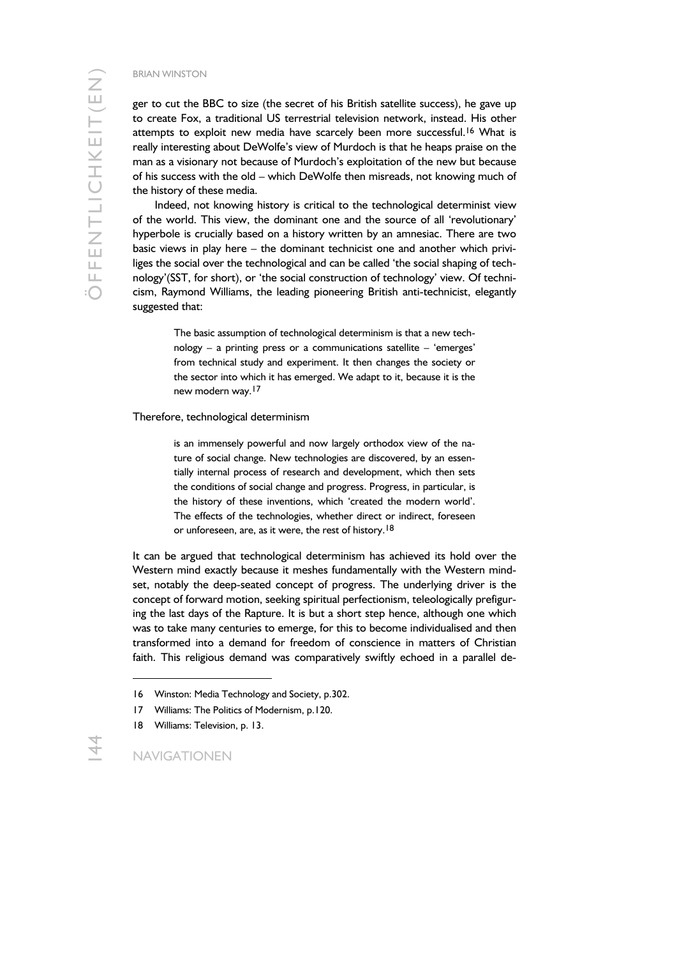ger to cut the BBC to size (the secret of his British satellite success), he gave up to create Fox, a traditional US terrestrial television network, instead. His other attempts to exploit new media have scarcely been more successful.<sup>16</sup> What is really interesting about DeWolfe's view of Murdoch is that he heaps praise on the man as a visionary not because of Murdoch's exploitation of the new but because of his success with the old – which DeWolfe then misreads, not knowing much of the history of these media.

Indeed, not knowing history is critical to the technological determinist view of the world. This view, the dominant one and the source of all 'revolutionary' hyperbole is crucially based on a history written by an amnesiac. There are two basic views in play here – the dominant technicist one and another which priviliges the social over the technological and can be called 'the social shaping of technology'(SST, for short), or 'the social construction of technology' view. Of technicism, Raymond Williams, the leading pioneering British anti-technicist, elegantly suggested that:

> The basic assumption of technological determinism is that a new technology – a printing press or a communications satellite – 'emerges' from technical study and experiment. It then changes the society or the sector into which it has emerged. We adapt to it, because it is the new modern way.17

#### Therefore, technological determinism

is an immensely powerful and now largely orthodox view of the nature of social change. New technologies are discovered, by an essentially internal process of research and development, which then sets the conditions of social change and progress. Progress, in particular, is the history of these inventions, which 'created the modern world'. The effects of the technologies, whether direct or indirect, foreseen or unforeseen, are, as it were, the rest of history.<sup>18</sup>

It can be argued that technological determinism has achieved its hold over the Western mind exactly because it meshes fundamentally with the Western mindset, notably the deep-seated concept of progress. The underlying driver is the concept of forward motion, seeking spiritual perfectionism, teleologically prefiguring the last days of the Rapture. It is but a short step hence, although one which was to take many centuries to emerge, for this to become individualised and then transformed into a demand for freedom of conscience in matters of Christian faith. This religious demand was comparatively swiftly echoed in a parallel de-

1

<sup>16</sup> Winston: Media Technology and Society, p.302.

<sup>17</sup> Williams: The Politics of Modernism, p.120.

<sup>18</sup> Williams: Television, p. 13.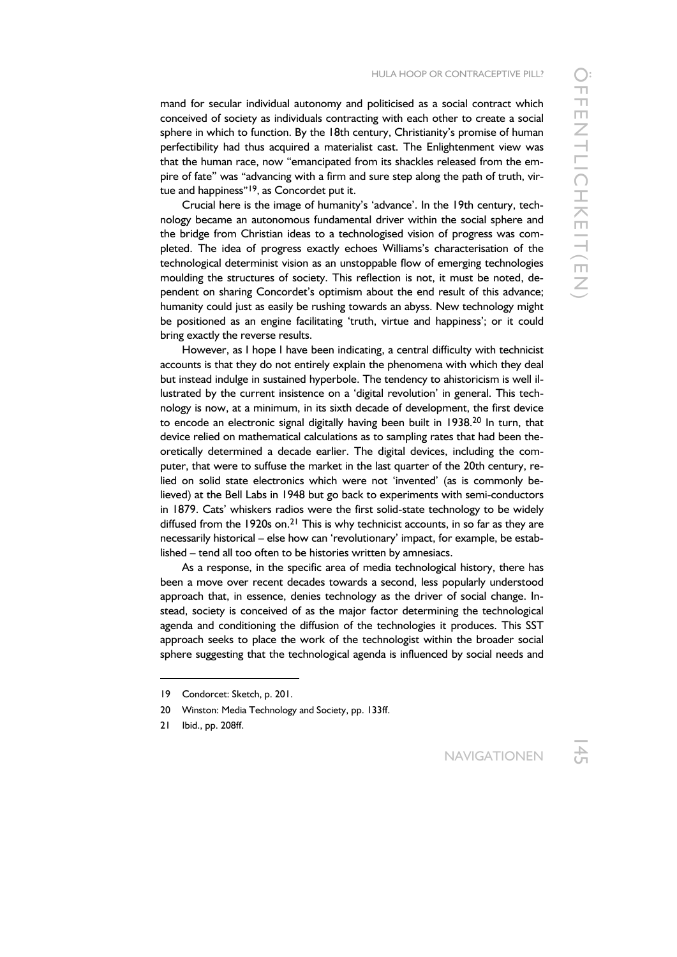mand for secular individual autonomy and politicised as a social contract which conceived of society as individuals contracting with each other to create a social sphere in which to function. By the 18th century, Christianity's promise of human perfectibility had thus acquired a materialist cast. The Enlightenment view was that the human race, now "emancipated from its shackles released from the empire of fate" was "advancing with a firm and sure step along the path of truth, virtue and happiness"<sup>19</sup>, as Concordet put it.

Crucial here is the image of humanity's 'advance'. In the 19th century, technology became an autonomous fundamental driver within the social sphere and the bridge from Christian ideas to a technologised vision of progress was completed. The idea of progress exactly echoes Williams's characterisation of the technological determinist vision as an unstoppable flow of emerging technologies moulding the structures of society. This reflection is not, it must be noted, dependent on sharing Concordet's optimism about the end result of this advance; humanity could just as easily be rushing towards an abyss. New technology might be positioned as an engine facilitating 'truth, virtue and happiness'; or it could bring exactly the reverse results.

However, as I hope I have been indicating, a central difficulty with technicist accounts is that they do not entirely explain the phenomena with which they deal but instead indulge in sustained hyperbole. The tendency to ahistoricism is well illustrated by the current insistence on a 'digital revolution' in general. This technology is now, at a minimum, in its sixth decade of development, the first device to encode an electronic signal digitally having been built in 1938.20 In turn, that device relied on mathematical calculations as to sampling rates that had been theoretically determined a decade earlier. The digital devices, including the computer, that were to suffuse the market in the last quarter of the 20th century, relied on solid state electronics which were not 'invented' (as is commonly believed) at the Bell Labs in 1948 but go back to experiments with semi-conductors in 1879. Cats' whiskers radios were the first solid-state technology to be widely diffused from the 1920s on.<sup>21</sup> This is why technicist accounts, in so far as they are necessarily historical – else how can 'revolutionary' impact, for example, be established – tend all too often to be histories written by amnesiacs.

As a response, in the specific area of media technological history, there has been a move over recent decades towards a second, less popularly understood approach that, in essence, denies technology as the driver of social change. Instead, society is conceived of as the major factor determining the technological agenda and conditioning the diffusion of the technologies it produces. This SST approach seeks to place the work of the technologist within the broader social sphere suggesting that the technological agenda is influenced by social needs and

-

<sup>19</sup> Condorcet: Sketch, p. 201.

<sup>20</sup> Winston: Media Technology and Society, pp. 133ff.

<sup>21</sup> Ibid., pp. 208ff.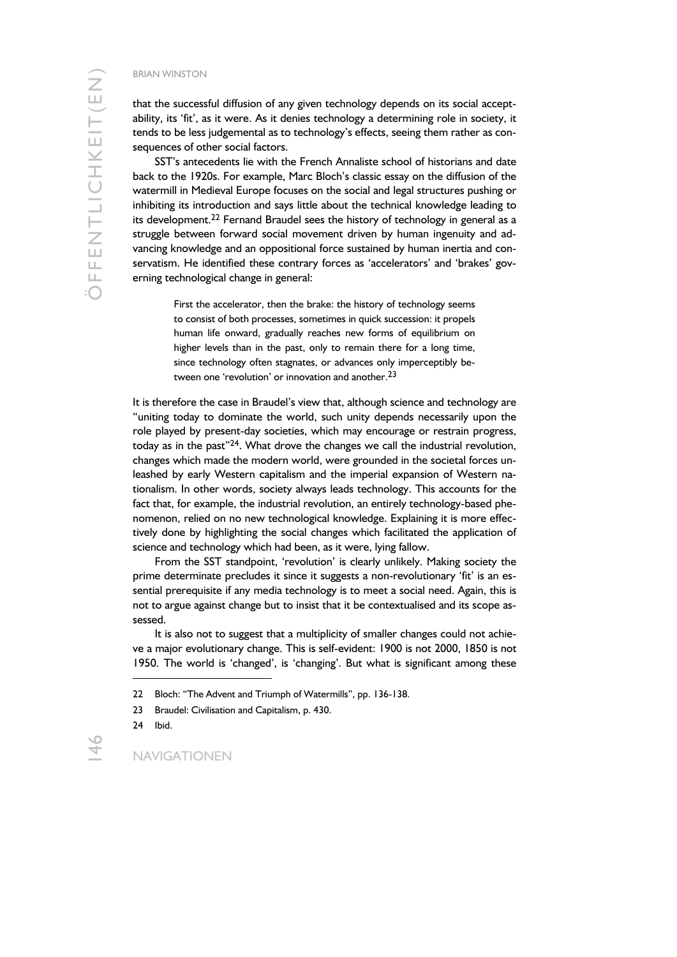that the successful diffusion of any given technology depends on its social acceptability, its 'fit', as it were. As it denies technology a determining role in society, it tends to be less judgemental as to technology's effects, seeing them rather as consequences of other social factors.

SST's antecedents lie with the French Annaliste school of historians and date back to the 1920s. For example, Marc Bloch's classic essay on the diffusion of the watermill in Medieval Europe focuses on the social and legal structures pushing or inhibiting its introduction and says little about the technical knowledge leading to its development.<sup>22</sup> Fernand Braudel sees the history of technology in general as a struggle between forward social movement driven by human ingenuity and advancing knowledge and an oppositional force sustained by human inertia and conservatism. He identified these contrary forces as 'accelerators' and 'brakes' governing technological change in general:

> First the accelerator, then the brake: the history of technology seems to consist of both processes, sometimes in quick succession: it propels human life onward, gradually reaches new forms of equilibrium on higher levels than in the past, only to remain there for a long time, since technology often stagnates, or advances only imperceptibly between one 'revolution' or innovation and another.<sup>23</sup>

It is therefore the case in Braudel's view that, although science and technology are "uniting today to dominate the world, such unity depends necessarily upon the role played by present-day societies, which may encourage or restrain progress, today as in the past"<sup>24</sup>. What drove the changes we call the industrial revolution, changes which made the modern world, were grounded in the societal forces unleashed by early Western capitalism and the imperial expansion of Western nationalism. In other words, society always leads technology. This accounts for the fact that, for example, the industrial revolution, an entirely technology-based phenomenon, relied on no new technological knowledge. Explaining it is more effectively done by highlighting the social changes which facilitated the application of science and technology which had been, as it were, lying fallow.

From the SST standpoint, 'revolution' is clearly unlikely. Making society the prime determinate precludes it since it suggests a non-revolutionary 'fit' is an essential prerequisite if any media technology is to meet a social need. Again, this is not to argue against change but to insist that it be contextualised and its scope assessed.

It is also not to suggest that a multiplicity of smaller changes could not achieve a major evolutionary change. This is self-evident: 1900 is not 2000, 1850 is not 1950. The world is 'changed', is 'changing'. But what is significant among these

1

<sup>22</sup> Bloch: "The Advent and Triumph of Watermills", pp. 136-138.

<sup>23</sup> Braudel: Civilisation and Capitalism, p. 430.

<sup>24</sup> Ibid.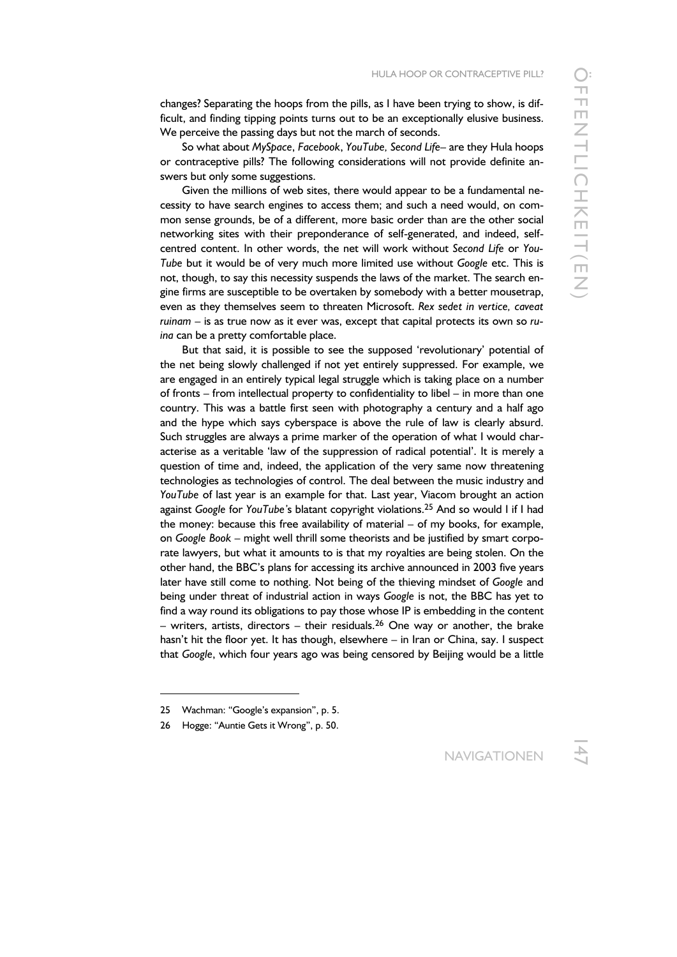changes? Separating the hoops from the pills, as I have been trying to show, is difficult, and finding tipping points turns out to be an exceptionally elusive business. We perceive the passing days but not the march of seconds.

So what about *MySpace*, *Facebook*, *YouTube, Second Life*– are they Hula hoops or contraceptive pills? The following considerations will not provide definite answers but only some suggestions.

Given the millions of web sites, there would appear to be a fundamental necessity to have search engines to access them; and such a need would, on common sense grounds, be of a different, more basic order than are the other social networking sites with their preponderance of self-generated, and indeed, selfcentred content. In other words, the net will work without *Second Life* or *You-Tube* but it would be of very much more limited use without *Google* etc. This is not, though, to say this necessity suspends the laws of the market. The search engine firms are susceptible to be overtaken by somebody with a better mousetrap, even as they themselves seem to threaten Microsoft. *Rex sedet in vertice, caveat ruinam* – is as true now as it ever was, except that capital protects its own so *ruina* can be a pretty comfortable place.

But that said, it is possible to see the supposed 'revolutionary' potential of the net being slowly challenged if not yet entirely suppressed. For example, we are engaged in an entirely typical legal struggle which is taking place on a number of fronts – from intellectual property to confidentiality to libel – in more than one country. This was a battle first seen with photography a century and a half ago and the hype which says cyberspace is above the rule of law is clearly absurd. Such struggles are always a prime marker of the operation of what I would characterise as a veritable 'law of the suppression of radical potential'. It is merely a question of time and, indeed, the application of the very same now threatening technologies as technologies of control. The deal between the music industry and *YouTube* of last year is an example for that. Last year, Viacom brought an action against *Google* for *YouTube'*s blatant copyright violations.25 And so would I if I had the money: because this free availability of material – of my books, for example, on *Google Book* – might well thrill some theorists and be justified by smart corporate lawyers, but what it amounts to is that my royalties are being stolen. On the other hand, the BBC's plans for accessing its archive announced in 2003 five years later have still come to nothing. Not being of the thieving mindset of *Google* and being under threat of industrial action in ways *Google* is not, the BBC has yet to find a way round its obligations to pay those whose IP is embedding in the content – writers, artists, directors – their residuals.<sup>26</sup> One way or another, the brake hasn't hit the floor yet. It has though, elsewhere – in Iran or China, say. I suspect that *Google*, which four years ago was being censored by Beijing would be a little

<sup>25</sup> Wachman: "Google's expansion", p. 5.

<sup>26</sup> Hogge: "Auntie Gets it Wrong", p. 50.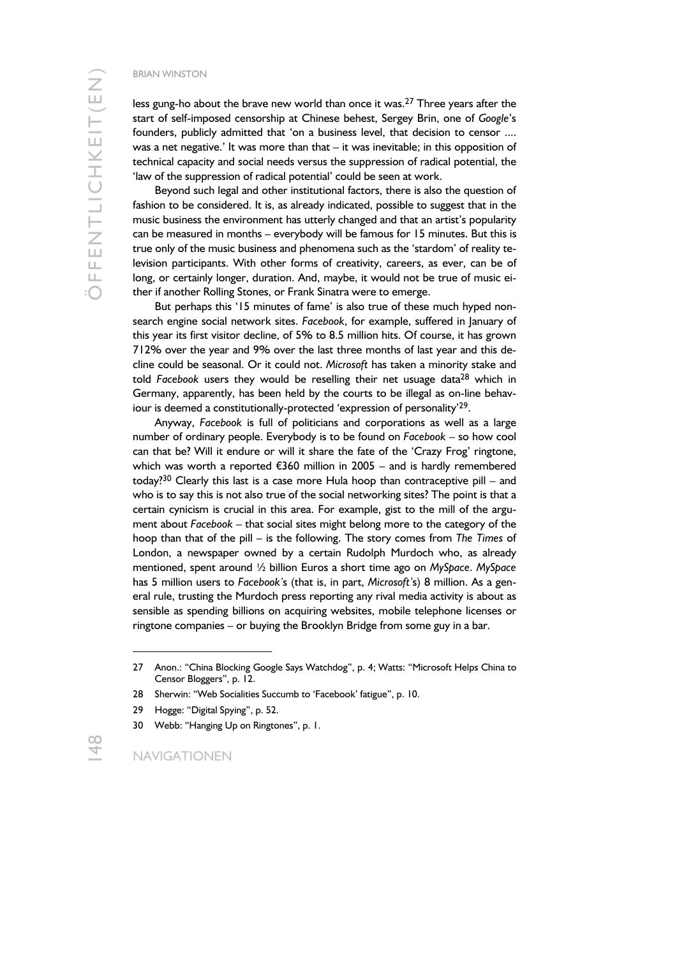less gung-ho about the brave new world than once it was.<sup>27</sup> Three years after the start of self-imposed censorship at Chinese behest, Sergey Brin, one of *Google*'s founders, publicly admitted that 'on a business level, that decision to censor .... was a net negative.' It was more than that – it was inevitable; in this opposition of technical capacity and social needs versus the suppression of radical potential, the 'law of the suppression of radical potential' could be seen at work.

Beyond such legal and other institutional factors, there is also the question of fashion to be considered. It is, as already indicated, possible to suggest that in the music business the environment has utterly changed and that an artist's popularity can be measured in months – everybody will be famous for 15 minutes. But this is true only of the music business and phenomena such as the 'stardom' of reality television participants. With other forms of creativity, careers, as ever, can be of long, or certainly longer, duration. And, maybe, it would not be true of music either if another Rolling Stones, or Frank Sinatra were to emerge.

But perhaps this '15 minutes of fame' is also true of these much hyped nonsearch engine social network sites. *Facebook*, for example, suffered in January of this year its first visitor decline, of 5% to 8.5 million hits. Of course, it has grown 712% over the year and 9% over the last three months of last year and this decline could be seasonal. Or it could not. *Microsoft* has taken a minority stake and told *Facebook* users they would be reselling their net usuage data28 which in Germany, apparently, has been held by the courts to be illegal as on-line behaviour is deemed a constitutionally-protected 'expression of personality'29.

Anyway, *Facebook* is full of politicians and corporations as well as a large number of ordinary people. Everybody is to be found on *Facebook* – so how cool can that be? Will it endure or will it share the fate of the 'Crazy Frog' ringtone, which was worth a reported €360 million in 2005 – and is hardly remembered today?30 Clearly this last is a case more Hula hoop than contraceptive pill – and who is to say this is not also true of the social networking sites? The point is that a certain cynicism is crucial in this area. For example, gist to the mill of the argument about *Facebook* – that social sites might belong more to the category of the hoop than that of the pill – is the following. The story comes from *The Times* of London, a newspaper owned by a certain Rudolph Murdoch who, as already mentioned, spent around ½ billion Euros a short time ago on *MySpace*. *MySpace* has 5 million users to *Facebook'*s (that is, in part, *Microsoft'*s) 8 million. As a general rule, trusting the Murdoch press reporting any rival media activity is about as sensible as spending billions on acquiring websites, mobile telephone licenses or ringtone companies – or buying the Brooklyn Bridge from some guy in a bar.

<sup>27</sup> Anon.: "China Blocking Google Says Watchdog", p. 4; Watts: "Microsoft Helps China to Censor Bloggers", p. 12.

<sup>28</sup> Sherwin: "Web Socialities Succumb to 'Facebook' fatigue", p. 10.

<sup>29</sup> Hogge: "Digital Spying", p. 52.

<sup>30</sup> Webb: "Hanging Up on Ringtones", p. 1.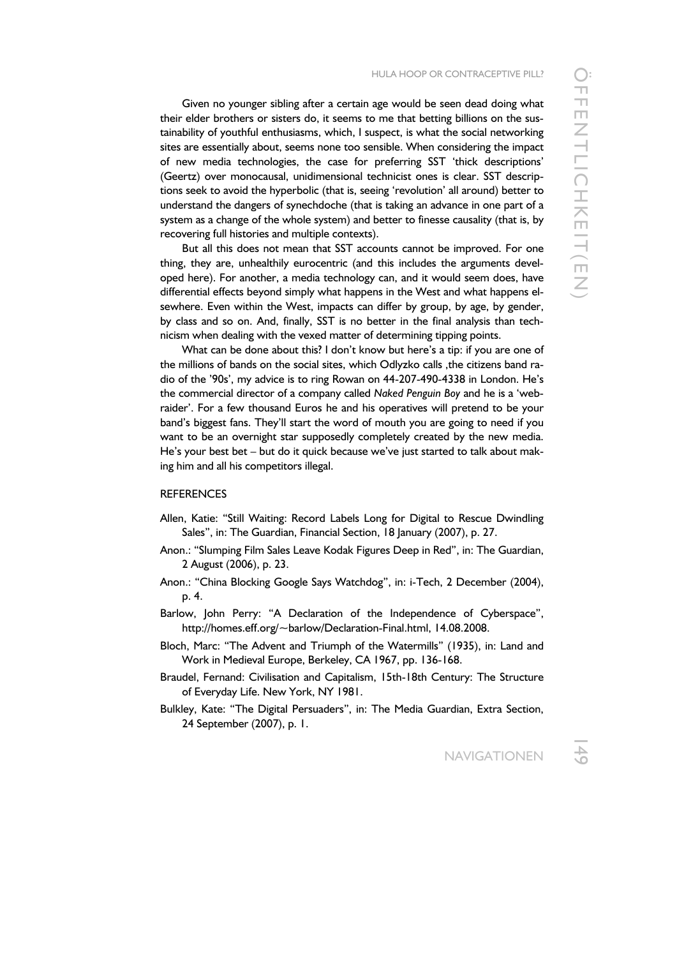Given no younger sibling after a certain age would be seen dead doing what their elder brothers or sisters do, it seems to me that betting billions on the sustainability of youthful enthusiasms, which, I suspect, is what the social networking sites are essentially about, seems none too sensible. When considering the impact of new media technologies, the case for preferring SST 'thick descriptions' (Geertz) over monocausal, unidimensional technicist ones is clear. SST descriptions seek to avoid the hyperbolic (that is, seeing 'revolution' all around) better to understand the dangers of synechdoche (that is taking an advance in one part of a system as a change of the whole system) and better to finesse causality (that is, by recovering full histories and multiple contexts).

But all this does not mean that SST accounts cannot be improved. For one thing, they are, unhealthily eurocentric (and this includes the arguments developed here). For another, a media technology can, and it would seem does, have differential effects beyond simply what happens in the West and what happens elsewhere. Even within the West, impacts can differ by group, by age, by gender, by class and so on. And, finally, SST is no better in the final analysis than technicism when dealing with the vexed matter of determining tipping points.

What can be done about this? I don't know but here's a tip: if you are one of the millions of bands on the social sites, which Odlyzko calls, the citizens band radio of the '90s', my advice is to ring Rowan on 44-207-490-4338 in London. He's the commercial director of a company called *Naked Penguin Boy* and he is a 'webraider'. For a few thousand Euros he and his operatives will pretend to be your band's biggest fans. They'll start the word of mouth you are going to need if you want to be an overnight star supposedly completely created by the new media. He's your best bet – but do it quick because we've just started to talk about making him and all his competitors illegal.

#### **REFERENCES**

- Allen, Katie: "Still Waiting: Record Labels Long for Digital to Rescue Dwindling Sales", in: The Guardian, Financial Section, 18 January (2007), p. 27.
- Anon.: "Slumping Film Sales Leave Kodak Figures Deep in Red", in: The Guardian, 2 August (2006), p. 23.
- Anon.: "China Blocking Google Says Watchdog", in: i-Tech, 2 December (2004), p. 4.
- Barlow, John Perry: "A Declaration of the Independence of Cyberspace", http://homes.eff.org/~barlow/Declaration-Final.html, 14.08.2008.
- Bloch, Marc: "The Advent and Triumph of the Watermills" (1935), in: Land and Work in Medieval Europe, Berkeley, CA 1967, pp. 136-168.
- Braudel, Fernand: Civilisation and Capitalism, 15th-18th Century: The Structure of Everyday Life. New York, NY 1981.
- Bulkley, Kate: "The Digital Persuaders", in: The Media Guardian, Extra Section, 24 September (2007), p. 1.